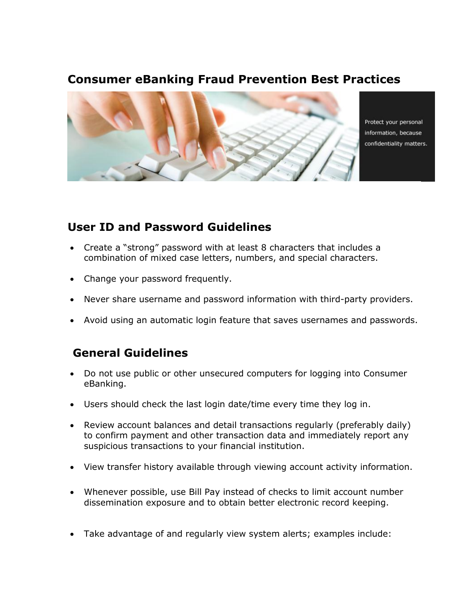## **Consumer eBanking Fraud Prevention Best Practices**



Protect your personal information, because confidentiality matters.

## **User ID and Password Guidelines**

- Create a "strong" password with at least 8 characters that includes a combination of mixed case letters, numbers, and special characters.
- Change your password frequently.
- Never share username and password information with third-party providers.
- Avoid using an automatic login feature that saves usernames and passwords.

## **General Guidelines**

- Do not use public or other unsecured computers for logging into Consumer eBanking.
- Users should check the last login date/time every time they log in.
- Review account balances and detail transactions regularly (preferably daily) to confirm payment and other transaction data and immediately report any suspicious transactions to your financial institution.
- View transfer history available through viewing account activity information.
- Whenever possible, use Bill Pay instead of checks to limit account number dissemination exposure and to obtain better electronic record keeping.
- Take advantage of and regularly view system alerts; examples include: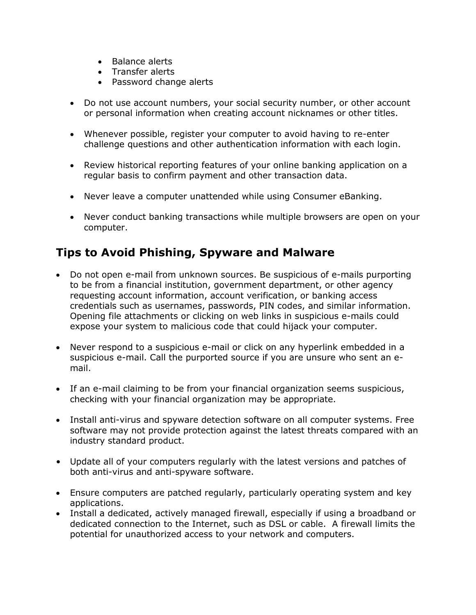- Balance alerts
- Transfer alerts
- Password change alerts
- Do not use account numbers, your social security number, or other account or personal information when creating account nicknames or other titles.
- Whenever possible, register your computer to avoid having to re-enter challenge questions and other authentication information with each login.
- Review historical reporting features of your online banking application on a regular basis to confirm payment and other transaction data.
- Never leave a computer unattended while using Consumer eBanking.
- Never conduct banking transactions while multiple browsers are open on your computer.

# **Tips to Avoid Phishing, Spyware and Malware**

- Do not open e-mail from unknown sources. Be suspicious of e-mails purporting to be from a financial institution, government department, or other agency requesting account information, account verification, or banking access credentials such as usernames, passwords, PIN codes, and similar information. Opening file attachments or clicking on web links in suspicious e-mails could expose your system to malicious code that could hijack your computer.
- Never respond to a suspicious e-mail or click on any hyperlink embedded in a suspicious e-mail. Call the purported source if you are unsure who sent an email.
- If an e-mail claiming to be from your financial organization seems suspicious, checking with your financial organization may be appropriate.
- Install anti-virus and spyware detection software on all computer systems. Free software may not provide protection against the latest threats compared with an industry standard product.
- Update all of your computers regularly with the latest versions and patches of both anti-virus and anti-spyware software.
- Ensure computers are patched regularly, particularly operating system and key applications.
- Install a dedicated, actively managed firewall, especially if using a broadband or dedicated connection to the Internet, such as DSL or cable. A firewall limits the potential for unauthorized access to your network and computers.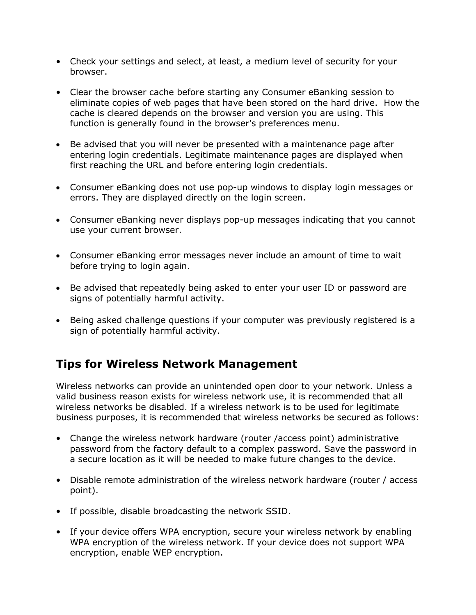- Check your settings and select, at least, a medium level of security for your browser.
- Clear the browser cache before starting any Consumer eBanking session to eliminate copies of web pages that have been stored on the hard drive. How the cache is cleared depends on the browser and version you are using. This function is generally found in the browser's preferences menu.
- Be advised that you will never be presented with a maintenance page after entering login credentials. Legitimate maintenance pages are displayed when first reaching the URL and before entering login credentials.
- Consumer eBanking does not use pop-up windows to display login messages or errors. They are displayed directly on the login screen.
- Consumer eBanking never displays pop-up messages indicating that you cannot use your current browser.
- Consumer eBanking error messages never include an amount of time to wait before trying to login again.
- Be advised that repeatedly being asked to enter your user ID or password are signs of potentially harmful activity.
- Being asked challenge questions if your computer was previously registered is a sign of potentially harmful activity.

#### **Tips for Wireless Network Management**

Wireless networks can provide an unintended open door to your network. Unless a valid business reason exists for wireless network use, it is recommended that all wireless networks be disabled. If a wireless network is to be used for legitimate business purposes, it is recommended that wireless networks be secured as follows:

- Change the wireless network hardware (router /access point) administrative password from the factory default to a complex password. Save the password in a secure location as it will be needed to make future changes to the device.
- Disable remote administration of the wireless network hardware (router / access point).
- If possible, disable broadcasting the network SSID.
- If your device offers WPA encryption, secure your wireless network by enabling WPA encryption of the wireless network. If your device does not support WPA encryption, enable WEP encryption.